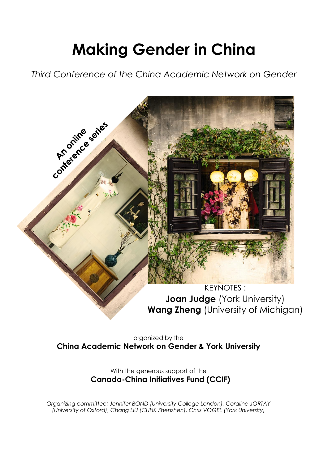# **Making Gender in China**

*Third Conference of the China Academic Network on Gender*



organized by the **China Academic Network on Gender & York University**

> With the generous support of the **Canada-China Initiatives Fund (CCIF)**

*Organizing committee: Jennifer BOND (University College London), Coraline JORTAY (University of Oxford), Chang LIU (CUHK Shenzhen), Chris VOGEL (York University)*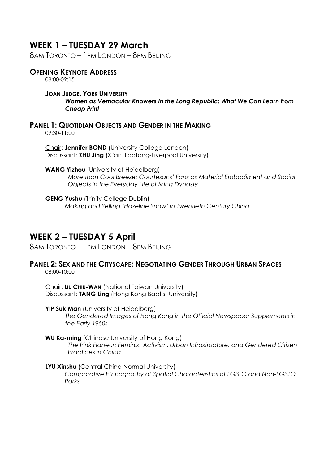## **WEEK 1 – TUESDAY 29 March**

8AM TORONTO – 1PM LONDON – 8PM BEIJING

## **OPENING KEYNOTE ADDRESS**

08:00-09:15

#### **JOAN JUDGE, YORK UNIVERSITY** *Women as Vernacular Knowers in the Long Republic: What We Can Learn from Cheap Print*

## **PANEL 1: QUOTIDIAN OBJECTS AND GENDER IN THE MAKING**

09:30-11:00

Chair: **Jennifer BOND** (University College London) Discussant: **ZHU Jing** (Xi'an Jiaotong-Liverpool University)

**WANG Yizhou** (University of Heidelberg) *More than Cool Breeze: Courtesans' Fans as Material Embodiment and Social Objects in the Everyday Life of Ming Dynasty*

**GENG Yushu** (Trinity College Dublin) *Making and Selling 'Hazeline Snow' in Twentieth Century China* 

## **WEEK 2 – TUESDAY 5 April**

8AM TORONTO – 1PM LONDON – 8PM BEIJING

## **PANEL 2: SEX AND THE CITYSCAPE: NEGOTIATING GENDER THROUGH URBAN SPACES**

08:00-10:00

Chair: **LIU CHIU-WAN** (National Taiwan University) Discussant: **TANG Ling** (Hong Kong Baptist University)

#### **YIP Suk Man** (University of Heidelberg)

*The Gendered Images of Hong Kong in the Official Newspaper Supplements in the Early 1960s*

#### **WU Ka-ming** (Chinese University of Hong Kong)

*The Pink Flaneur: Feminist Activism, Urban Infrastructure, and Gendered Citizen Practices in China*

#### **LYU Xinshu** (Central China Normal University)

*Comparative Ethnography of Spatial Characteristics of LGBTQ and Non-LGBTQ Parks*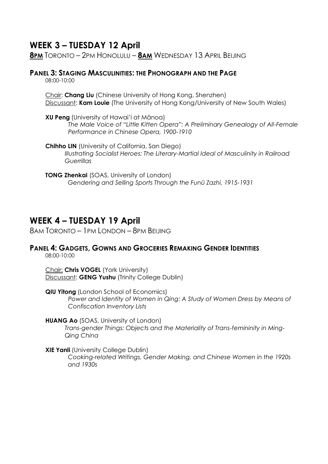## **WEEK 3 – TUESDAY 12 April**

**8PM** TORONTO – 2PM HONOLULU – **8AM** WEDNESDAY 13 APRIL BEIJING

## **PANEL 3: STAGING MASCULINITIES: THE PHONOGRAPH AND THE PAGE**

08:00-10:00

Chair: **Chang Liu** (Chinese University of Hong Kong, Shenzhen) Discussant: **Kam Louie** (The University of Hong Kong/University of New South Wales)

- **XU Peng** (University of Hawai'i at Mānoa) *The Male Voice of "Little Kitten Opera": A Preliminary Genealogy of All-Female Performance in Chinese Opera, 1900-1910*
- **Chihho LIN** (University of California, San Diego) *Illustrating Socialist Heroes: The Literary-Martial Ideal of Masculinity in Railroad Guerrillas*
- **TONG Zhenkai** (SOAS, University of London) *Gendering and Selling Sports Through the Funü Zazhi, 1915-1931*

## **WEEK 4 – TUESDAY 19 April**

8AM TORONTO – 1PM LONDON – 8PM BEIJING

## **PANEL 4: GADGETS, GOWNS AND GROCERIES REMAKING GENDER IDENTITIES**

08:00-10:00

Chair: **Chris VOGEL** (York University) Discussant: **GENG Yushu** (Trinity College Dublin)

**QIU Yitong** (London School of Economics) *Power and Identity of Women in Qing: A Study of Women Dress by Means of Confiscation Inventory Lists*

#### **HUANG Ao** (SOAS, University of London)

*Trans-gender Things: Objects and the Materiality of Trans-femininity in Ming-Qing China*

**XIE Yanli** (University College Dublin)

*Cooking-related Writings, Gender Making, and Chinese Women in the 1920s and 1930s*